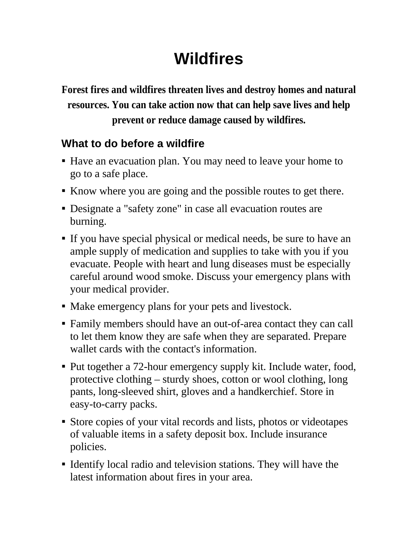## **Wildfires**

**Forest fires and wildfires threaten lives and destroy homes and natural resources. You can take action now that can help save lives and help prevent or reduce damage caused by wildfires.**

## **What to do before a wildfire**

- Have an evacuation plan. You may need to leave your home to go to a safe place.
- Know where you are going and the possible routes to get there.
- Designate a "safety zone" in case all evacuation routes are burning.
- If you have special physical or medical needs, be sure to have an ample supply of medication and supplies to take with you if you evacuate. People with heart and lung diseases must be especially careful around wood smoke. Discuss your emergency plans with your medical provider.
- Make emergency plans for your pets and livestock.
- Family members should have an out-of-area contact they can call to let them know they are safe when they are separated. Prepare wallet cards with the contact's information.
- Put together a 72-hour emergency supply kit. Include water, food, protective clothing – sturdy shoes, cotton or wool clothing, long pants, long-sleeved shirt, gloves and a handkerchief. Store in easy-to-carry packs.
- Store copies of your vital records and lists, photos or videotapes of valuable items in a safety deposit box. Include insurance policies.
- Identify local radio and television stations. They will have the latest information about fires in your area.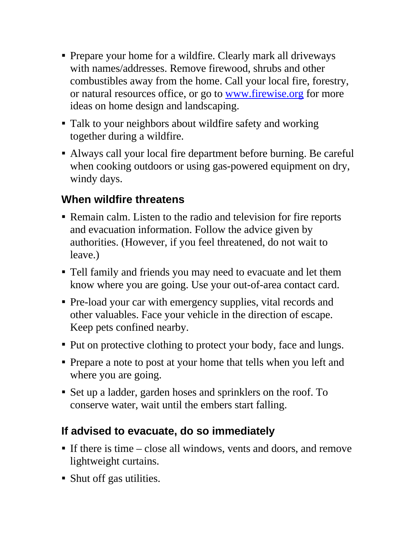- Prepare your home for a wildfire. Clearly mark all driveways with names/addresses. Remove firewood, shrubs and other combustibles away from the home. Call your local fire, forestry, or natural resources office, or go to www.firewise.org for more ideas on home design and landscaping.
- Talk to your neighbors about wildfire safety and working together during a wildfire.
- Always call your local fire department before burning. Be careful when cooking outdoors or using gas-powered equipment on dry, windy days.

## **When wildfire threatens**

- Remain calm. Listen to the radio and television for fire reports and evacuation information. Follow the advice given by authorities. (However, if you feel threatened, do not wait to leave.)
- Tell family and friends you may need to evacuate and let them know where you are going. Use your out-of-area contact card.
- Pre-load your car with emergency supplies, vital records and other valuables. Face your vehicle in the direction of escape. Keep pets confined nearby.
- Put on protective clothing to protect your body, face and lungs.
- Prepare a note to post at your home that tells when you left and where you are going.
- Set up a ladder, garden hoses and sprinklers on the roof. To conserve water, wait until the embers start falling.

## **If advised to evacuate, do so immediately**

- If there is time close all windows, vents and doors, and remove lightweight curtains.
- Shut off gas utilities.